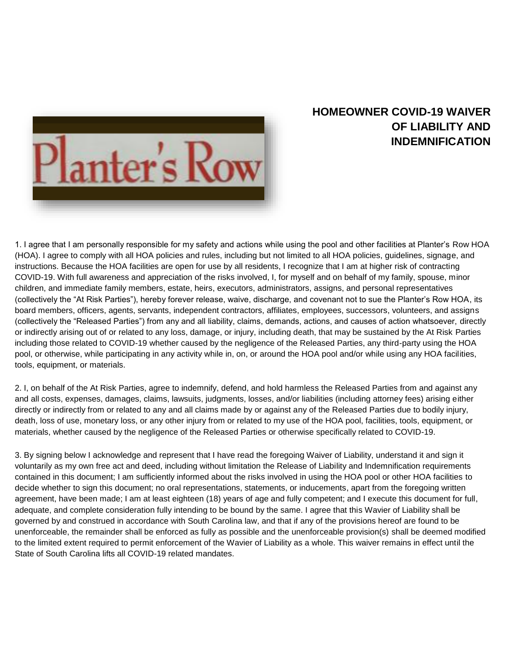

## **HOMEOWNER COVID-19 WAIVER OF LIABILITY AND INDEMNIFICATION**

1. I agree that I am personally responsible for my safety and actions while using the pool and other facilities at Planter's Row HOA (HOA). I agree to comply with all HOA policies and rules, including but not limited to all HOA policies, guidelines, signage, and instructions. Because the HOA facilities are open for use by all residents, I recognize that I am at higher risk of contracting COVID-19. With full awareness and appreciation of the risks involved, I, for myself and on behalf of my family, spouse, minor children, and immediate family members, estate, heirs, executors, administrators, assigns, and personal representatives (collectively the "At Risk Parties"), hereby forever release, waive, discharge, and covenant not to sue the Planter's Row HOA, its board members, officers, agents, servants, independent contractors, affiliates, employees, successors, volunteers, and assigns (collectively the "Released Parties") from any and all liability, claims, demands, actions, and causes of action whatsoever, directly or indirectly arising out of or related to any loss, damage, or injury, including death, that may be sustained by the At Risk Parties including those related to COVID-19 whether caused by the negligence of the Released Parties, any third-party using the HOA pool, or otherwise, while participating in any activity while in, on, or around the HOA pool and/or while using any HOA facilities, tools, equipment, or materials.

2. I, on behalf of the At Risk Parties, agree to indemnify, defend, and hold harmless the Released Parties from and against any and all costs, expenses, damages, claims, lawsuits, judgments, losses, and/or liabilities (including attorney fees) arising either directly or indirectly from or related to any and all claims made by or against any of the Released Parties due to bodily injury, death, loss of use, monetary loss, or any other injury from or related to my use of the HOA pool, facilities, tools, equipment, or materials, whether caused by the negligence of the Released Parties or otherwise specifically related to COVID-19.

3. By signing below I acknowledge and represent that I have read the foregoing Waiver of Liability, understand it and sign it voluntarily as my own free act and deed, including without limitation the Release of Liability and Indemnification requirements contained in this document; I am sufficiently informed about the risks involved in using the HOA pool or other HOA facilities to decide whether to sign this document; no oral representations, statements, or inducements, apart from the foregoing written agreement, have been made; I am at least eighteen (18) years of age and fully competent; and I execute this document for full, adequate, and complete consideration fully intending to be bound by the same. I agree that this Wavier of Liability shall be governed by and construed in accordance with South Carolina law, and that if any of the provisions hereof are found to be unenforceable, the remainder shall be enforced as fully as possible and the unenforceable provision(s) shall be deemed modified to the limited extent required to permit enforcement of the Wavier of Liability as a whole. This waiver remains in effect until the State of South Carolina lifts all COVID-19 related mandates.